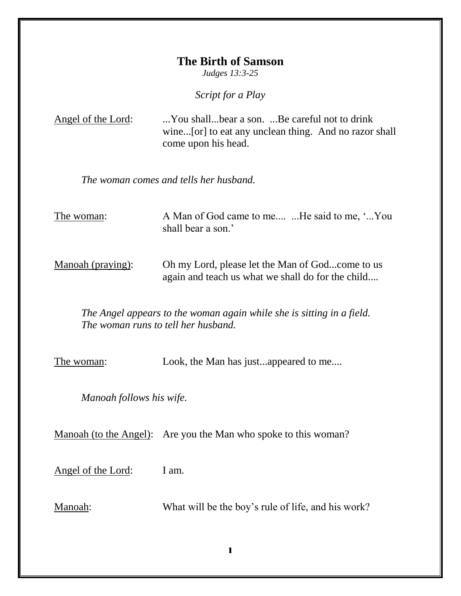## **The Birth of Samson**

*Judges 13:3-25*

*Script for a Play*

| Angel of the Lord: | You shallbear a son. Be careful not to drink          |
|--------------------|-------------------------------------------------------|
|                    | wine[or] to eat any unclean thing. And no razor shall |
|                    | come upon his head.                                   |

*The woman comes and tells her husband.*

The woman: A Man of God came to me.... ... He said to me, '... You shall bear a son.'

Manoah (praying): Oh my Lord, please let the Man of God...come to us again and teach us what we shall do for the child....

*The Angel appears to the woman again while she is sitting in a field. The woman runs to tell her husband.*

The woman: Look, the Man has just...appeared to me....

*Manoah follows his wife.*

Manoah (to the Angel): Are you the Man who spoke to this woman?

Angel of the Lord: I am.

Manoah: What will be the boy's rule of life, and his work?